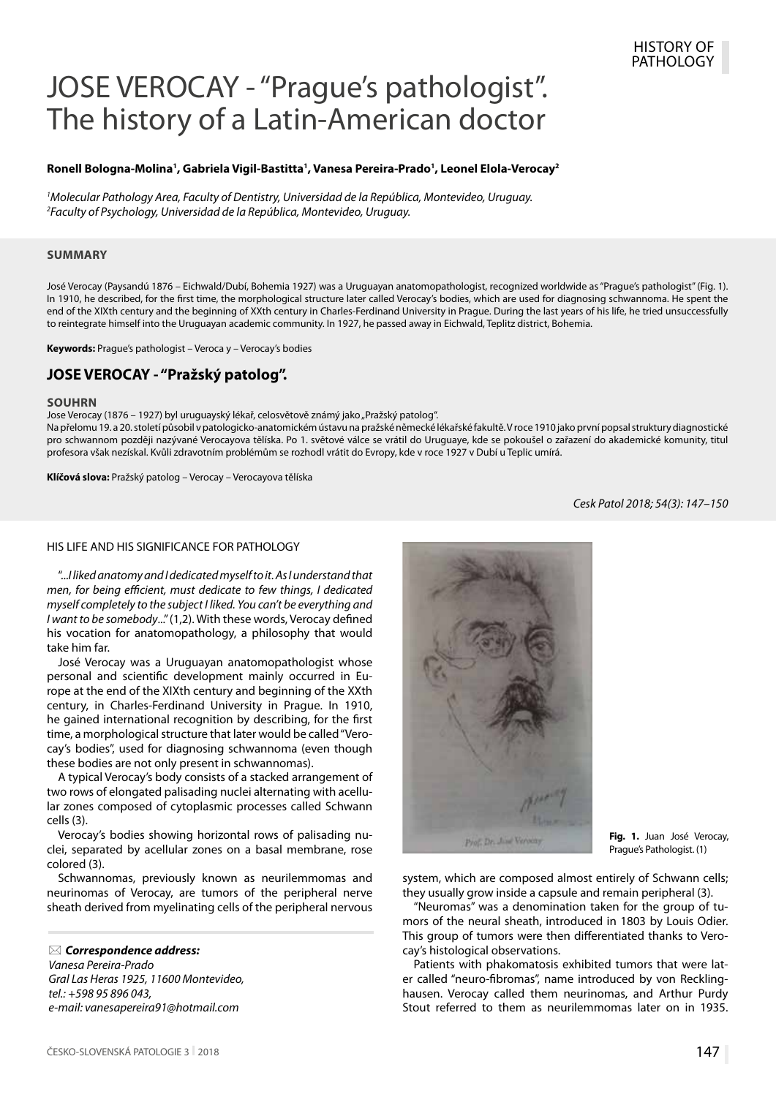# JOSE VEROCAY - "Prague's pathologist". The history of a Latin-American doctor

#### **Ronell Bologna-Molina1 , Gabriela Vigil-Bastitta1 , Vanesa Pereira-Prado1 , Leonel Elola-Verocay2**

*1 Molecular Pathology Area, Faculty of Dentistry, Universidad de la República, Montevideo, Uruguay. 2 Faculty of Psychology, Universidad de la República, Montevideo, Uruguay.* 

#### **SUMMARY**

José Verocay (Paysandú 1876 – Eichwald/Dubí, Bohemia 1927) was a Uruguayan anatomopathologist, recognized worldwide as "Prague's pathologist" (Fig. 1). In 1910, he described, for the first time, the morphological structure later called Verocay's bodies, which are used for diagnosing schwannoma. He spent the end of the XIXth century and the beginning of XXth century in Charles-Ferdinand University in Prague. During the last years of his life, he tried unsuccessfully to reintegrate himself into the Uruguayan academic community. In 1927, he passed away in Eichwald, Teplitz district, Bohemia.

**Keywords:** Prague's pathologist – Veroca y – Verocay's bodies

## **JOSE VEROCAY - "Pražský patolog".**

#### **SOUHRN**

Jose Verocay (1876 – 1927) byl uruguayský lékař, celosvětově známý jako "Pražský patolog".

Na přelomu 19. a 20. století působil v patologicko-anatomickém ústavu na pražské německé lékařské fakultě. V roce 1910 jako první popsal struktury diagnostické pro schwannom později nazývané Verocayova tělíska. Po 1. světové válce se vrátil do Uruguaye, kde se pokoušel o zařazení do akademické komunity, titul profesora však nezískal. Kvůli zdravotním problémům se rozhodl vrátit do Evropy, kde v roce 1927 v Dubí u Teplic umírá.

**Klíčová slova:** Pražský patolog – Verocay – Verocayova tělíska

*Cesk Patol 2018; 54(3): 147–150*

#### HIS LIFE AND HIS SIGNIFICANCE FOR PATHOLOGY

"...*I liked anatomy and I dedicated myself to it. As I understand that men, for being efficient, must dedicate to few things, I dedicated myself completely to the subject I liked. You can't be everything and I want to be somebody*..." (1,2). With these words, Verocay defined his vocation for anatomopathology, a philosophy that would take him far.

José Verocay was a Uruguayan anatomopathologist whose personal and scientific development mainly occurred in Europe at the end of the XIXth century and beginning of the XXth century, in Charles-Ferdinand University in Prague. In 1910, he gained international recognition by describing, for the first time, a morphological structure that later would be called "Verocay's bodies", used for diagnosing schwannoma (even though these bodies are not only present in schwannomas).

A typical Verocay's body consists of a stacked arrangement of two rows of elongated palisading nuclei alternating with acellular zones composed of cytoplasmic processes called Schwann cells (3).

Verocay's bodies showing horizontal rows of palisading nuclei, separated by acellular zones on a basal membrane, rose colored (3).

Schwannomas, previously known as neurilemmomas and neurinomas of Verocay, are tumors of the peripheral nerve sheath derived from myelinating cells of the peripheral nervous

 *Correspondence address: Vanesa Pereira-Prado Gral Las Heras 1925, 11600 Montevideo, tel.: +598 95 896 043,* 

*e-mail: vanesapereira91@hotmail.com*



**Fig. 1.** Juan José Verocay, Prague's Pathologist. (1)

system, which are composed almost entirely of Schwann cells; they usually grow inside a capsule and remain peripheral (3).

"Neuromas" was a denomination taken for the group of tumors of the neural sheath, introduced in 1803 by Louis Odier. This group of tumors were then differentiated thanks to Verocay's histological observations.

Patients with phakomatosis exhibited tumors that were later called "neuro-fibromas", name introduced by von Recklinghausen. Verocay called them neurinomas, and Arthur Purdy Stout referred to them as neurilemmomas later on in 1935.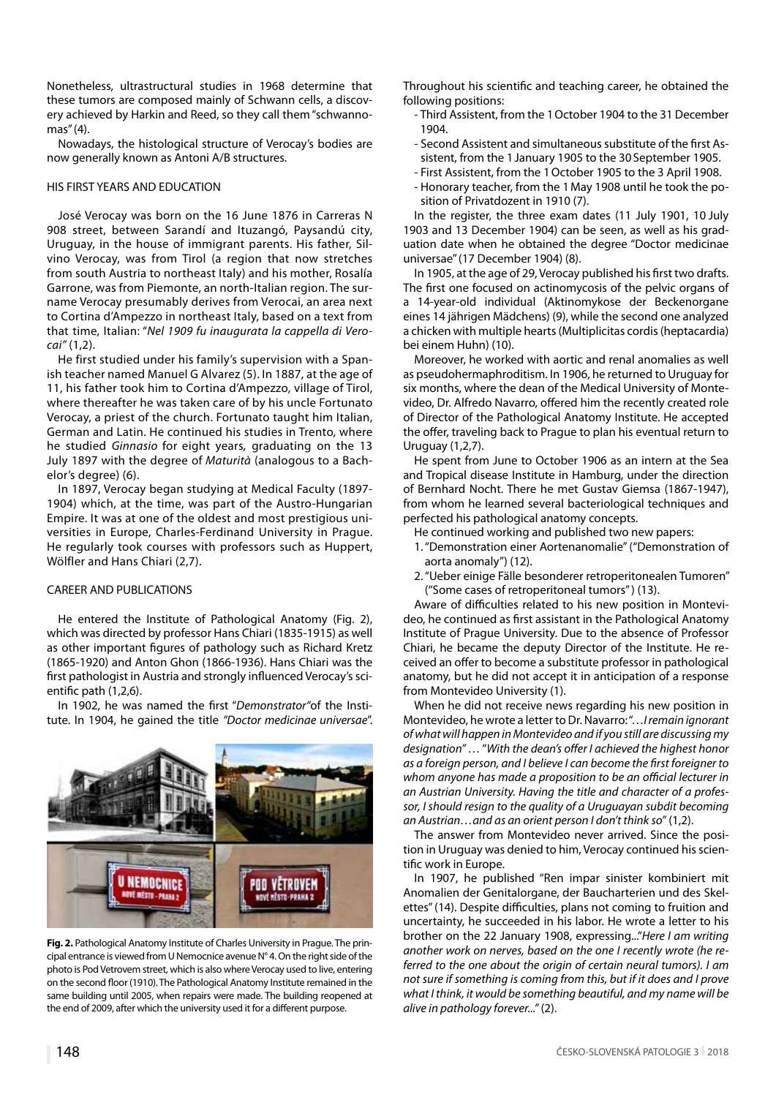Nonetheless, ultrastructural studies in 1968 determine that these tumors are composed mainly of Schwann cells, a discovery achieved by Harkin and Reed, so they call them "schwannomas" (4).

Nowadays, the histological structure of Verocay's bodies are now generally known as Antoni A/B structures.

#### HIS FIRST YEARS AND EDUCATION

José Verocay was born on the 16 June 1876 in Carreras N 908 street, between Sarandí and Ituzangó, Paysandú city, Uruguay, in the house of immigrant parents. His father, Silvino Verocay, was from Tirol (a region that now stretches from south Austria to northeast Italy) and his mother, Rosalía Garrone, was from Piemonte, an north-Italian region. The surname Verocay presumably derives from Verocai, an area next to Cortina d'Ampezzo in northeast Italy, based on a text from that time, Italian: "*Nel 1909 fu inaugurata la cappella di Verocai"* (1,2).

He first studied under his family's supervision with a Spanish teacher named Manuel G Alvarez (5). In 1887, at the age of 11, his father took him to Cortina d'Ampezzo, village of Tirol, where thereafter he was taken care of by his uncle Fortunato Verocay, a priest of the church. Fortunato taught him Italian, German and Latin. He continued his studies in Trento, where he studied *Ginnasio* for eight years*,* graduating on the 13 July 1897 with the degree of *Maturità* (analogous to a Bachelor's degree) (6).

In 1897, Verocay began studying at Medical Faculty (1897- 1904) which, at the time, was part of the Austro-Hungarian Empire. It was at one of the oldest and most prestigious universities in Europe, Charles-Ferdinand University in Prague. He regularly took courses with professors such as Huppert, Wölfler and Hans Chiari (2,7).

#### CAREER AND PUBLICATIONS

He entered the Institute of Pathological Anatomy (Fig. 2), which was directed by professor Hans Chiari (1835-1915) as well as other important figures of pathology such as Richard Kretz (1865-1920) and Anton Ghon (1866-1936). Hans Chiari was the first pathologist in Austria and strongly influenced Verocay's scientific path (1,2,6).

In 1902, he was named the first "*Demonstrator"*of the Institute. In 1904, he gained the title *"Doctor medicinae universae*".



**Fig. 2.** Pathological Anatomy Institute of Charles University in Prague. The principal entrance is viewed from U Nemocnice avenue N° 4. On the right side of the photo is Pod Vetrovem street, which is also where Verocay used to live, entering on the second floor (1910). The Pathological Anatomy Institute remained in the same building until 2005, when repairs were made. The building reopened at the end of 2009, after which the university used it for a different purpose.

Throughout his scientific and teaching career, he obtained the following positions:

- Third Assistent, from the 1October 1904 to the 31 December 1904.
- Second Assistent and simultaneous substitute of the first Assistent, from the 1January 1905 to the 30September 1905.
- First Assistent, from the 1October 1905 to the 3 April 1908.
- Honorary teacher, from the 1May 1908 until he took the position of Privatdozent in 1910 (7).

In the register, the three exam dates (11 July 1901, 10 July 1903 and 13 December 1904) can be seen, as well as his graduation date when he obtained the degree "Doctor medicinae universae" (17 December 1904) (8).

In 1905, at the age of 29, Verocay published his first two drafts. The first one focused on actinomycosis of the pelvic organs of a 14-year-old individual (Aktinomykose der Beckenorgane eines 14 jährigen Mädchens) (9), while the second one analyzed a chicken with multiple hearts (Multiplicitas cordis (heptacardia) bei einem Huhn) (10).

Moreover, he worked with aortic and renal anomalies as well as pseudohermaphroditism. In 1906, he returned to Uruguay for six months, where the dean of the Medical University of Montevideo, Dr. Alfredo Navarro, offered him the recently created role of Director of the Pathological Anatomy Institute. He accepted the offer, traveling back to Prague to plan his eventual return to Uruguay (1,2,7).

He spent from June to October 1906 as an intern at the Sea and Tropical disease Institute in Hamburg, under the direction of Bernhard Nocht. There he met Gustav Giemsa (1867-1947), from whom he learned several bacteriological techniques and perfected his pathological anatomy concepts.

He continued working and published two new papers:

- 1. "Demonstration einer Aortenanomalie" ("Demonstration of aorta anomaly") (12).
- 2. "Ueber einige Fälle besonderer retroperitonealen Tumoren" ("Some cases of retroperitoneal tumors" ) (13).

Aware of difficulties related to his new position in Montevideo, he continued as first assistant in the Pathological Anatomy Institute of Prague University. Due to the absence of Professor Chiari, he became the deputy Director of the Institute. He received an offer to become a substitute professor in pathological anatomy, but he did not accept it in anticipation of a response from Montevideo University (1).

When he did not receive news regarding his new position in Montevideo, he wrote a letter to Dr. Navarro: "…*I remain ignorant of what will happen in Montevideo and if you still are discussing my designation" …* "*With the dean's offer I achieved the highest honor as a foreign person, and I believe I can become the first foreigner to whom anyone has made a proposition to be an official lecturer in an Austrian University. Having the title and character of a professor, I should resign to the quality of a Uruguayan subdit becoming an Austrian…and as an orient person I don't think so"* (1,2).

The answer from Montevideo never arrived. Since the position in Uruguay was denied to him, Verocay continued his scientific work in Europe.

In 1907, he published "Ren impar sinister kombiniert mit Anomalien der Genitalorgane, der Baucharterien und des Skelettes" (14). Despite difficulties, plans not coming to fruition and uncertainty, he succeeded in his labor. He wrote a letter to his brother on the 22 January 1908, expressing..."*Here I am writing another work on nerves, based on the one I recently wrote (he referred to the one about the origin of certain neural tumors). I am not sure if something is coming from this, but if it does and I prove what I think, it would be something beautiful, and my name will be alive in pathology forever..."* (2).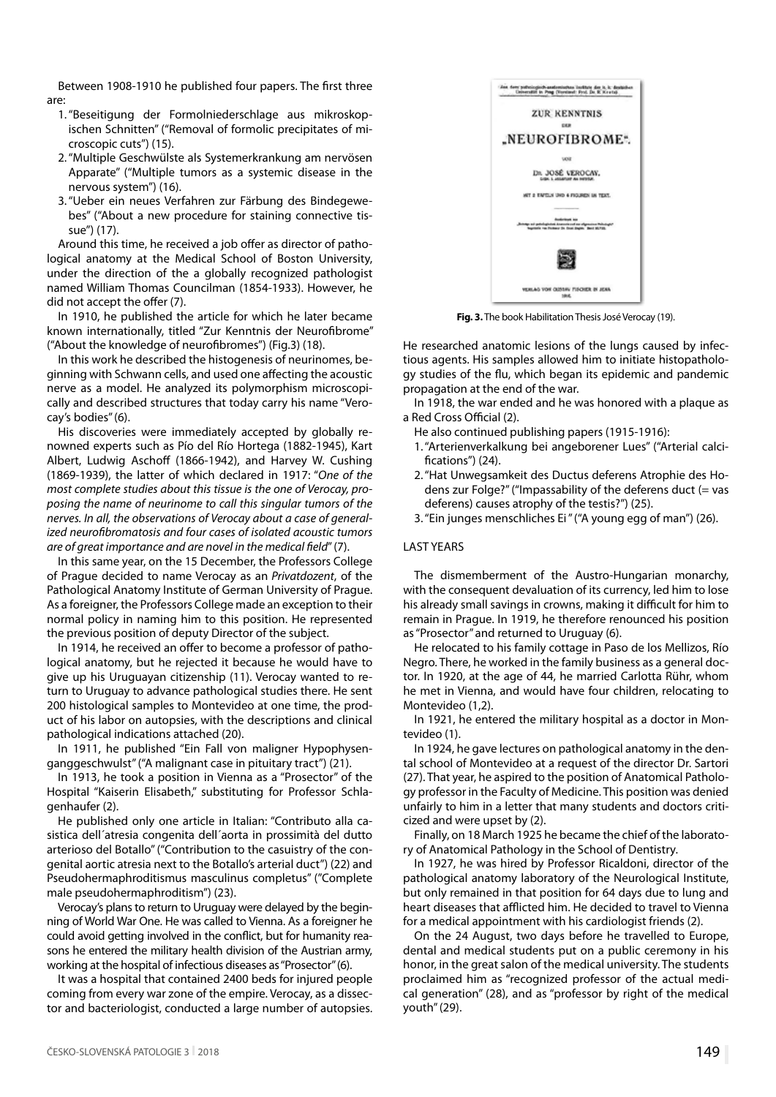Between 1908-1910 he published four papers. The first three are:

- 1. "Beseitigung der Formolniederschlage aus mikroskopischen Schnitten" ("Removal of formolic precipitates of microscopic cuts") (15).
- 2. "Multiple Geschwülste als Systemerkrankung am nervösen Apparate" ("Multiple tumors as a systemic disease in the nervous system") (16).
- 3. "Ueber ein neues Verfahren zur Färbung des Bindegewebes" ("About a new procedure for staining connective tissue") (17).

Around this time, he received a job offer as director of pathological anatomy at the Medical School of Boston University, under the direction of the a globally recognized pathologist named William Thomas Councilman (1854-1933). However, he did not accept the offer (7).

In 1910, he published the article for which he later became known internationally, titled "Zur Kenntnis der Neurofibrome" ("About the knowledge of neurofibromes") (Fig.3) (18).

In this work he described the histogenesis of neurinomes, beginning with Schwann cells, and used one affecting the acoustic nerve as a model. He analyzed its polymorphism microscopically and described structures that today carry his name "Verocay's bodies" (6).

His discoveries were immediately accepted by globally renowned experts such as Pío del Río Hortega (1882-1945), Kart Albert, Ludwig Aschoff (1866-1942), and Harvey W. Cushing (1869-1939), the latter of which declared in 1917: "*One of the most complete studies about this tissue is the one of Verocay, proposing the name of neurinome to call this singular tumors of the nerves. In all, the observations of Verocay about a case of generalized neurofibromatosis and four cases of isolated acoustic tumors are of great importance and are novel in the medical field*" (7).

In this same year, on the 15 December, the Professors College of Prague decided to name Verocay as an *Privatdozent*, of the Pathological Anatomy Institute of German University of Prague. As a foreigner, the Professors College made an exception to their normal policy in naming him to this position. He represented the previous position of deputy Director of the subject.

In 1914, he received an offer to become a professor of pathological anatomy, but he rejected it because he would have to give up his Uruguayan citizenship (11). Verocay wanted to return to Uruguay to advance pathological studies there. He sent 200 histological samples to Montevideo at one time, the product of his labor on autopsies, with the descriptions and clinical pathological indications attached (20).

In 1911, he published "Ein Fall von maligner Hypophysenganggeschwulst" ("A malignant case in pituitary tract") (21).

In 1913, he took a position in Vienna as a "Prosector" of the Hospital "Kaiserin Elisabeth," substituting for Professor Schlagenhaufer (2).

He published only one article in Italian: "Contributo alla casistica dell´atresia congenita dell´aorta in prossimità del dutto arterioso del Botallo" ("Contribution to the casuistry of the congenital aortic atresia next to the Botallo's arterial duct") (22) and Pseudohermaphroditismus masculinus completus" ("Complete male pseudohermaphroditism") (23).

Verocay's plans to return to Uruguay were delayed by the beginning of World War One. He was called to Vienna. As a foreigner he could avoid getting involved in the conflict, but for humanity reasons he entered the military health division of the Austrian army, working at the hospital of infectious diseases as "Prosector" (6).

It was a hospital that contained 2400 beds for injured people coming from every war zone of the empire. Verocay, as a dissector and bacteriologist, conducted a large number of autopsies.



**Fig. 3.** The book Habilitation Thesis José Verocay (19).

He researched anatomic lesions of the lungs caused by infectious agents. His samples allowed him to initiate histopathology studies of the flu, which began its epidemic and pandemic propagation at the end of the war.

In 1918, the war ended and he was honored with a plaque as a Red Cross Official (2).

- He also continued publishing papers (1915-1916):
- 1. "Arterienverkalkung bei angeborener Lues" ("Arterial calcifications") (24).
- 2. "Hat Unwegsamkeit des Ductus deferens Atrophie des Hodens zur Folge?" ("Impassability of the deferens duct (= vas deferens) causes atrophy of the testis?") (25).
- 3. "Ein junges menschliches Ei" ("A young egg of man") (26).

#### LAST YEARS

The dismemberment of the Austro-Hungarian monarchy, with the consequent devaluation of its currency, led him to lose his already small savings in crowns, making it difficult for him to remain in Prague. In 1919, he therefore renounced his position as "Prosector" and returned to Uruguay (6).

He relocated to his family cottage in Paso de los Mellizos, Río Negro. There, he worked in the family business as a general doctor. In 1920, at the age of 44, he married Carlotta Rühr, whom he met in Vienna, and would have four children, relocating to Montevideo (1,2).

In 1921, he entered the military hospital as a doctor in Montevideo (1).

In 1924, he gave lectures on pathological anatomy in the dental school of Montevideo at a request of the director Dr. Sartori (27). That year, he aspired to the position of Anatomical Pathology professor in the Faculty of Medicine. This position was denied unfairly to him in a letter that many students and doctors criticized and were upset by (2).

Finally, on 18 March 1925 he became the chief of the laboratory of Anatomical Pathology in the School of Dentistry.

In 1927, he was hired by Professor Ricaldoni, director of the pathological anatomy laboratory of the Neurological Institute, but only remained in that position for 64 days due to lung and heart diseases that afflicted him. He decided to travel to Vienna for a medical appointment with his cardiologist friends (2).

On the 24 August, two days before he travelled to Europe, dental and medical students put on a public ceremony in his honor, in the great salon of the medical university. The students proclaimed him as "recognized professor of the actual medical generation" (28), and as "professor by right of the medical youth" (29).